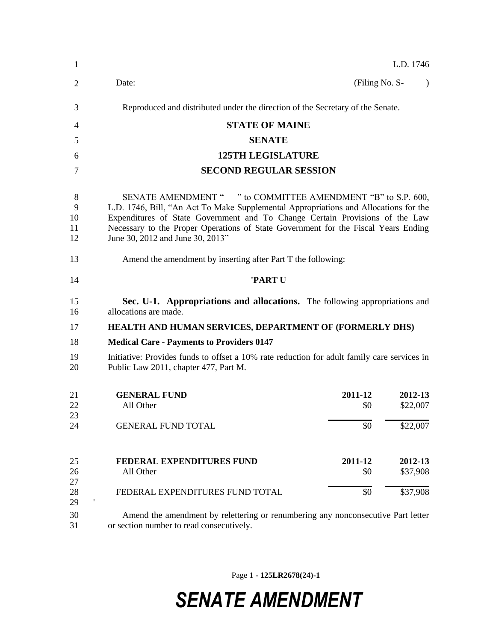| 1                        | L.D. 1746                                                                                                                                                                                                                                                                                                                                                      |                       |                                 |           |  |
|--------------------------|----------------------------------------------------------------------------------------------------------------------------------------------------------------------------------------------------------------------------------------------------------------------------------------------------------------------------------------------------------------|-----------------------|---------------------------------|-----------|--|
| 2                        | Date:                                                                                                                                                                                                                                                                                                                                                          | (Filing No. S-        |                                 | $\lambda$ |  |
| 3                        | Reproduced and distributed under the direction of the Secretary of the Senate.                                                                                                                                                                                                                                                                                 |                       |                                 |           |  |
| 4                        | <b>STATE OF MAINE</b>                                                                                                                                                                                                                                                                                                                                          |                       |                                 |           |  |
| 5                        | <b>SENATE</b>                                                                                                                                                                                                                                                                                                                                                  |                       |                                 |           |  |
| 6                        | <b>125TH LEGISLATURE</b>                                                                                                                                                                                                                                                                                                                                       |                       |                                 |           |  |
| 7                        | <b>SECOND REGULAR SESSION</b>                                                                                                                                                                                                                                                                                                                                  |                       |                                 |           |  |
| 8<br>9<br>10<br>11<br>12 | SENATE AMENDMENT " " to COMMITTEE AMENDMENT "B" to S.P. 600,<br>L.D. 1746, Bill, "An Act To Make Supplemental Appropriations and Allocations for the<br>Expenditures of State Government and To Change Certain Provisions of the Law<br>Necessary to the Proper Operations of State Government for the Fiscal Years Ending<br>June 30, 2012 and June 30, 2013" |                       |                                 |           |  |
| 13                       | Amend the amendment by inserting after Part T the following:                                                                                                                                                                                                                                                                                                   |                       |                                 |           |  |
| 14                       | 'PART U                                                                                                                                                                                                                                                                                                                                                        |                       |                                 |           |  |
| 15<br>16                 | Sec. U-1. Appropriations and allocations. The following appropriations and<br>allocations are made.                                                                                                                                                                                                                                                            |                       |                                 |           |  |
| 17                       | <b>HEALTH AND HUMAN SERVICES, DEPARTMENT OF (FORMERLY DHS)</b>                                                                                                                                                                                                                                                                                                 |                       |                                 |           |  |
| 18                       | <b>Medical Care - Payments to Providers 0147</b>                                                                                                                                                                                                                                                                                                               |                       |                                 |           |  |
| 19<br>20                 | Initiative: Provides funds to offset a 10% rate reduction for adult family care services in<br>Public Law 2011, chapter 477, Part M.                                                                                                                                                                                                                           |                       |                                 |           |  |
| 21<br>22<br>23           | <b>GENERAL FUND</b><br>All Other                                                                                                                                                                                                                                                                                                                               | 2011-12<br>\$0        | 2012-13<br>\$22,007             |           |  |
| 24                       | <b>GENERAL FUND TOTAL</b>                                                                                                                                                                                                                                                                                                                                      | \$0                   | \$22,007                        |           |  |
| 25<br>26<br>27<br>28     | <b>FEDERAL EXPENDITURES FUND</b><br>All Other<br>FEDERAL EXPENDITURES FUND TOTAL                                                                                                                                                                                                                                                                               | 2011-12<br>\$0<br>\$0 | 2012-13<br>\$37,908<br>\$37,908 |           |  |
| 29<br>30<br>31           | Amend the amendment by relettering or renumbering any nonconsecutive Part letter<br>or section number to read consecutively.                                                                                                                                                                                                                                   |                       |                                 |           |  |

Page 1 **- 125LR2678(24)-1**

## *SENATE AMENDMENT*